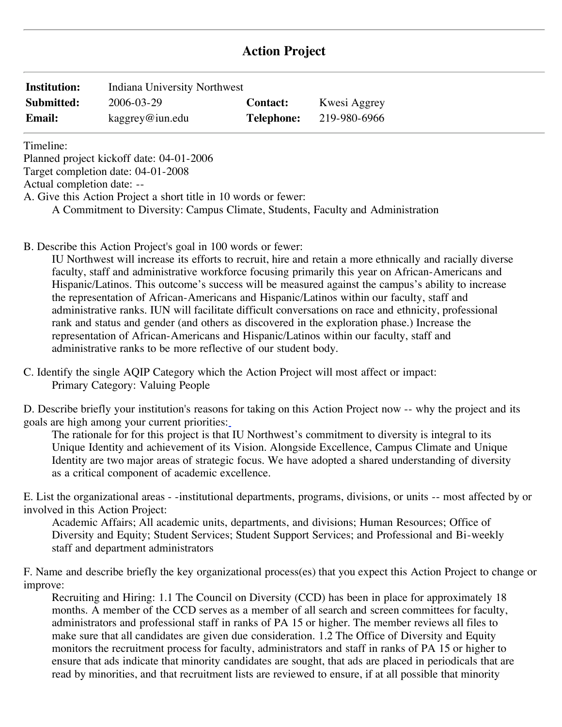# **Action Project**

| <b>Institution:</b> | Indiana University Northwest |                   |              |
|---------------------|------------------------------|-------------------|--------------|
| Submitted:          | 2006-03-29                   | <b>Contact:</b>   | Kwesi Aggrey |
| <b>Email:</b>       | $k$ aggrey@iun.edu           | <b>Telephone:</b> | 219-980-6966 |

Timeline:

Planned project kickoff date: 04-01-2006

Target completion date: 04-01-2008

Actual completion date: --

A. Give this Action Project a short title in 10 words or fewer:

A Commitment to Diversity: Campus Climate, Students, Faculty and Administration

B. Describe this Action Project's goal in 100 words or fewer:

IU Northwest will increase its efforts to recruit, hire and retain a more ethnically and racially diverse faculty, staff and administrative workforce focusing primarily this year on African-Americans and Hispanic/Latinos. This outcome's success will be measured against the campus's ability to increase the representation of African-Americans and Hispanic/Latinos within our faculty, staff and administrative ranks. IUN will facilitate difficult conversations on race and ethnicity, professional rank and status and gender (and others as discovered in the exploration phase.) Increase the representation of African-Americans and Hispanic/Latinos within our faculty, staff and administrative ranks to be more reflective of our student body.

C. Identify the single AQIP Category which the Action Project will most affect or impact: Primary Category: Valuing People

D. Describe briefly your institution's reasons for taking on this Action Project now -- why the project and its goals are high among your current priorities:

The rationale for for this project is that IU Northwest's commitment to diversity is integral to its Unique Identity and achievement of its Vision. Alongside Excellence, Campus Climate and Unique Identity are two major areas of strategic focus. We have adopted a shared understanding of diversity as a critical component of academic excellence.

E. List the organizational areas - -institutional departments, programs, divisions, or units -- most affected by or involved in this Action Project:

Academic Affairs; All academic units, departments, and divisions; Human Resources; Office of Diversity and Equity; Student Services; Student Support Services; and Professional and Bi-weekly staff and department administrators

F. Name and describe briefly the key organizational process(es) that you expect this Action Project to change or improve:

Recruiting and Hiring: 1.1 The Council on Diversity (CCD) has been in place for approximately 18 months. A member of the CCD serves as a member of all search and screen committees for faculty, administrators and professional staff in ranks of PA 15 or higher. The member reviews all files to make sure that all candidates are given due consideration. 1.2 The Office of Diversity and Equity monitors the recruitment process for faculty, administrators and staff in ranks of PA 15 or higher to ensure that ads indicate that minority candidates are sought, that ads are placed in periodicals that are read by minorities, and that recruitment lists are reviewed to ensure, if at all possible that minority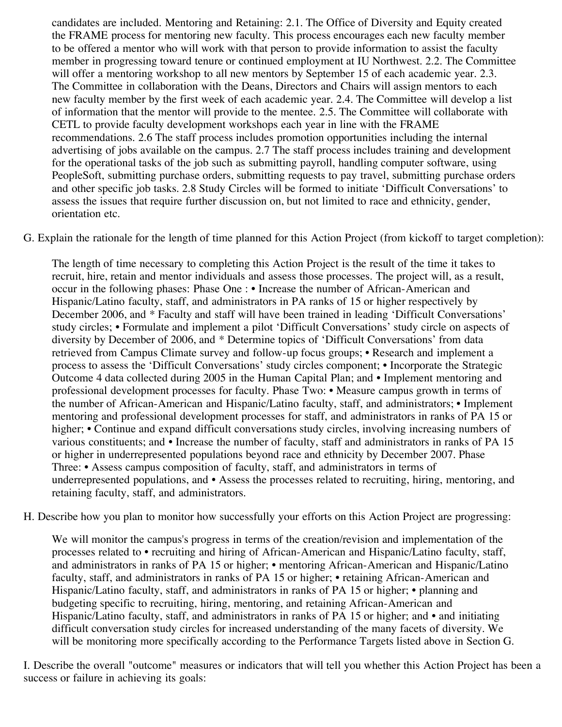candidates are included. Mentoring and Retaining: 2.1. The Office of Diversity and Equity created the FRAME process for mentoring new faculty. This process encourages each new faculty member to be offered a mentor who will work with that person to provide information to assist the faculty member in progressing toward tenure or continued employment at IU Northwest. 2.2. The Committee will offer a mentoring workshop to all new mentors by September 15 of each academic year. 2.3. The Committee in collaboration with the Deans, Directors and Chairs will assign mentors to each new faculty member by the first week of each academic year. 2.4. The Committee will develop a list of information that the mentor will provide to the mentee. 2.5. The Committee will collaborate with CETL to provide faculty development workshops each year in line with the FRAME recommendations. 2.6 The staff process includes promotion opportunities including the internal advertising of jobs available on the campus. 2.7 The staff process includes training and development for the operational tasks of the job such as submitting payroll, handling computer software, using PeopleSoft, submitting purchase orders, submitting requests to pay travel, submitting purchase orders and other specific job tasks. 2.8 Study Circles will be formed to initiate 'Difficult Conversations' to assess the issues that require further discussion on, but not limited to race and ethnicity, gender, orientation etc.

G. Explain the rationale for the length of time planned for this Action Project (from kickoff to target completion):

 occur in the following phases: Phase One : • Increase the number of African-American and study circles; • Formulate and implement a pilot 'Difficult Conversations' study circle on aspects of process to assess the 'Difficult Conversations' study circles component; • Incorporate the Strategic Outcome 4 data collected during 2005 in the Human Capital Plan; and • Implement mentoring and professional development processes for faculty. Phase Two: • Measure campus growth in terms of the number of African-American and Hispanic/Latino faculty, staff, and administrators; • Implement higher; • Continue and expand difficult conversations study circles, involving increasing numbers of various constituents; and • Increase the number of faculty, staff and administrators in ranks of PA 15 Three: • Assess campus composition of faculty, staff, and administrators in terms of underrepresented populations, and • Assess the processes related to recruiting, hiring, mentoring, and The length of time necessary to completing this Action Project is the result of the time it takes to recruit, hire, retain and mentor individuals and assess those processes. The project will, as a result, Hispanic/Latino faculty, staff, and administrators in PA ranks of 15 or higher respectively by December 2006, and \* Faculty and staff will have been trained in leading 'Difficult Conversations' diversity by December of 2006, and \* Determine topics of 'Difficult Conversations' from data retrieved from Campus Climate survey and follow-up focus groups; • Research and implement a mentoring and professional development processes for staff, and administrators in ranks of PA 15 or or higher in underrepresented populations beyond race and ethnicity by December 2007. Phase retaining faculty, staff, and administrators.

H. Describe how you plan to monitor how successfully your efforts on this Action Project are progressing:

 processes related to • recruiting and hiring of African-American and Hispanic/Latino faculty, staff, and administrators in ranks of PA 15 or higher; • mentoring African-American and Hispanic/Latino Hispanic/Latino faculty, staff, and administrators in ranks of PA 15 or higher; • planning and We will monitor the campus's progress in terms of the creation/revision and implementation of the faculty, staff, and administrators in ranks of PA 15 or higher; • retaining African-American and budgeting specific to recruiting, hiring, mentoring, and retaining African-American and Hispanic/Latino faculty, staff, and administrators in ranks of PA 15 or higher; and • and initiating difficult conversation study circles for increased understanding of the many facets of diversity. We will be monitoring more specifically according to the Performance Targets listed above in Section G.

 success or failure in achieving its goals: I. Describe the overall "outcome" measures or indicators that will tell you whether this Action Project has been a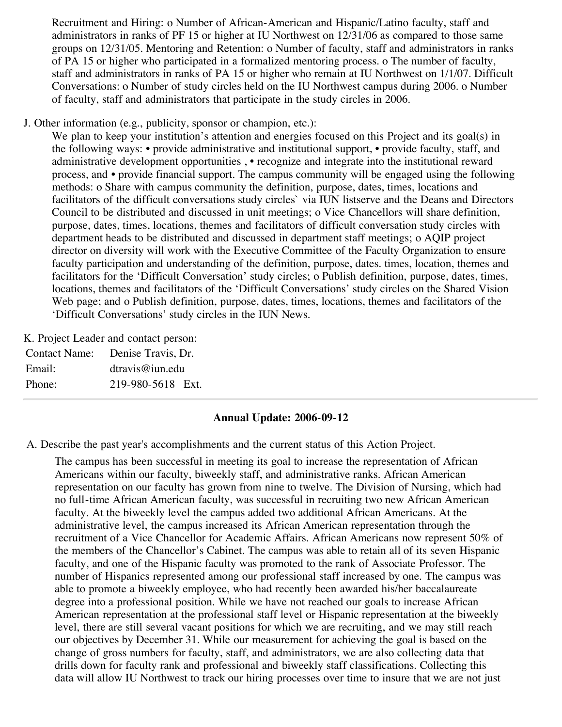Recruitment and Hiring: o Number of African-American and Hispanic/Latino faculty, staff and administrators in ranks of PF 15 or higher at IU Northwest on 12/31/06 as compared to those same groups on 12/31/05. Mentoring and Retention: o Number of faculty, staff and administrators in ranks of PA 15 or higher who participated in a formalized mentoring process. o The number of faculty, staff and administrators in ranks of PA 15 or higher who remain at IU Northwest on 1/1/07. Difficult Conversations: o Number of study circles held on the IU Northwest campus during 2006. o Number of faculty, staff and administrators that participate in the study circles in 2006.

J. Other information (e.g., publicity, sponsor or champion, etc.):

 the following ways: • provide administrative and institutional support, • provide faculty, staff, and We plan to keep your institution's attention and energies focused on this Project and its goal(s) in administrative development opportunities , • recognize and integrate into the institutional reward process, and • provide financial support. The campus community will be engaged using the following methods: o Share with campus community the definition, purpose, dates, times, locations and facilitators of the difficult conversations study circles` via IUN listserve and the Deans and Directors Council to be distributed and discussed in unit meetings; o Vice Chancellors will share definition, purpose, dates, times, locations, themes and facilitators of difficult conversation study circles with department heads to be distributed and discussed in department staff meetings; o AQIP project director on diversity will work with the Executive Committee of the Faculty Organization to ensure faculty participation and understanding of the definition, purpose, dates. times, location, themes and facilitators for the 'Difficult Conversation' study circles; o Publish definition, purpose, dates, times, locations, themes and facilitators of the 'Difficult Conversations' study circles on the Shared Vision Web page; and o Publish definition, purpose, dates, times, locations, themes and facilitators of the 'Difficult Conversations' study circles in the IUN News.

K. Project Leader and contact person:

| Contact Name: Denise Travis, Dr. |                   |  |
|----------------------------------|-------------------|--|
| Email:                           | dravis@ium.edu    |  |
| Phone:                           | 219-980-5618 Ext. |  |

### **Annual Update: 2006-09-12**

A. Describe the past year's accomplishments and the current status of this Action Project.

The campus has been successful in meeting its goal to increase the representation of African Americans within our faculty, biweekly staff, and administrative ranks. African American representation on our faculty has grown from nine to twelve. The Division of Nursing, which had no full-time African American faculty, was successful in recruiting two new African American faculty. At the biweekly level the campus added two additional African Americans. At the administrative level, the campus increased its African American representation through the recruitment of a Vice Chancellor for Academic Affairs. African Americans now represent 50% of the members of the Chancellor's Cabinet. The campus was able to retain all of its seven Hispanic faculty, and one of the Hispanic faculty was promoted to the rank of Associate Professor. The number of Hispanics represented among our professional staff increased by one. The campus was able to promote a biweekly employee, who had recently been awarded his/her baccalaureate degree into a professional position. While we have not reached our goals to increase African American representation at the professional staff level or Hispanic representation at the biweekly level, there are still several vacant positions for which we are recruiting, and we may still reach our objectives by December 31. While our measurement for achieving the goal is based on the change of gross numbers for faculty, staff, and administrators, we are also collecting data that drills down for faculty rank and professional and biweekly staff classifications. Collecting this data will allow IU Northwest to track our hiring processes over time to insure that we are not just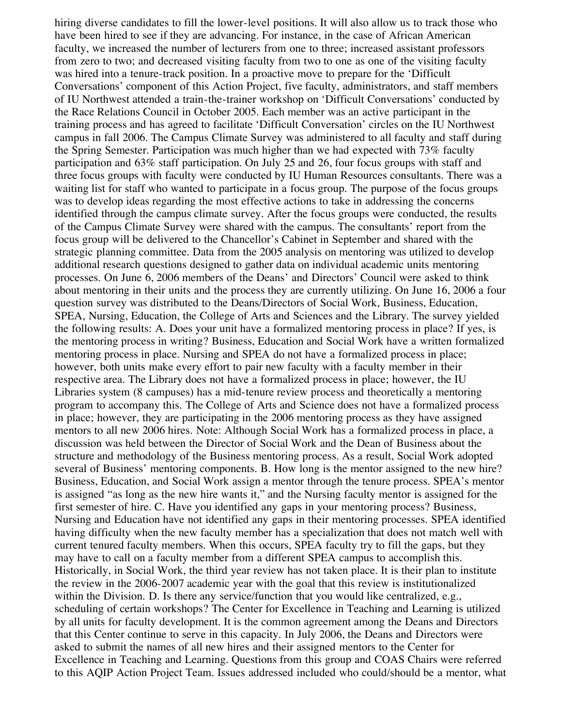the following results: A. Does your unit have a formalized mentoring process in place? If yes, is several of Business' mentoring components. B. How long is the mentor assigned to the new hire? first semester of hire. C. Have you identified any gaps in your mentoring process? Business, within the Division. D. Is there any service/function that you would like centralized, e.g., hiring diverse candidates to fill the lower-level positions. It will also allow us to track those who have been hired to see if they are advancing. For instance, in the case of African American faculty, we increased the number of lecturers from one to three; increased assistant professors from zero to two; and decreased visiting faculty from two to one as one of the visiting faculty was hired into a tenure-track position. In a proactive move to prepare for the 'Difficult Conversations' component of this Action Project, five faculty, administrators, and staff members of IU Northwest attended a train-the-trainer workshop on 'Difficult Conversations' conducted by the Race Relations Council in October 2005. Each member was an active participant in the training process and has agreed to facilitate 'Difficult Conversation' circles on the IU Northwest campus in fall 2006. The Campus Climate Survey was administered to all faculty and staff during the Spring Semester. Participation was much higher than we had expected with 73% faculty participation and 63% staff participation. On July 25 and 26, four focus groups with staff and three focus groups with faculty were conducted by IU Human Resources consultants. There was a waiting list for staff who wanted to participate in a focus group. The purpose of the focus groups was to develop ideas regarding the most effective actions to take in addressing the concerns identified through the campus climate survey. After the focus groups were conducted, the results of the Campus Climate Survey were shared with the campus. The consultants' report from the focus group will be delivered to the Chancellor's Cabinet in September and shared with the strategic planning committee. Data from the 2005 analysis on mentoring was utilized to develop additional research questions designed to gather data on individual academic units mentoring processes. On June 6, 2006 members of the Deans' and Directors' Council were asked to think about mentoring in their units and the process they are currently utilizing. On June 16, 2006 a four question survey was distributed to the Deans/Directors of Social Work, Business, Education, SPEA, Nursing, Education, the College of Arts and Sciences and the Library. The survey yielded the mentoring process in writing? Business, Education and Social Work have a written formalized mentoring process in place. Nursing and SPEA do not have a formalized process in place; however, both units make every effort to pair new faculty with a faculty member in their respective area. The Library does not have a formalized process in place; however, the IU Libraries system (8 campuses) has a mid-tenure review process and theoretically a mentoring program to accompany this. The College of Arts and Science does not have a formalized process in place; however, they are participating in the 2006 mentoring process as they have assigned mentors to all new 2006 hires. Note: Although Social Work has a formalized process in place, a discussion was held between the Director of Social Work and the Dean of Business about the structure and methodology of the Business mentoring process. As a result, Social Work adopted Business, Education, and Social Work assign a mentor through the tenure process. SPEA's mentor is assigned "as long as the new hire wants it," and the Nursing faculty mentor is assigned for the Nursing and Education have not identified any gaps in their mentoring processes. SPEA identified having difficulty when the new faculty member has a specialization that does not match well with current tenured faculty members. When this occurs, SPEA faculty try to fill the gaps, but they may have to call on a faculty member from a different SPEA campus to accomplish this. Historically, in Social Work, the third year review has not taken place. It is their plan to institute the review in the 2006-2007 academic year with the goal that this review is institutionalized scheduling of certain workshops? The Center for Excellence in Teaching and Learning is utilized by all units for faculty development. It is the common agreement among the Deans and Directors that this Center continue to serve in this capacity. In July 2006, the Deans and Directors were asked to submit the names of all new hires and their assigned mentors to the Center for Excellence in Teaching and Learning. Questions from this group and COAS Chairs were referred to this AQIP Action Project Team. Issues addressed included who could/should be a mentor, what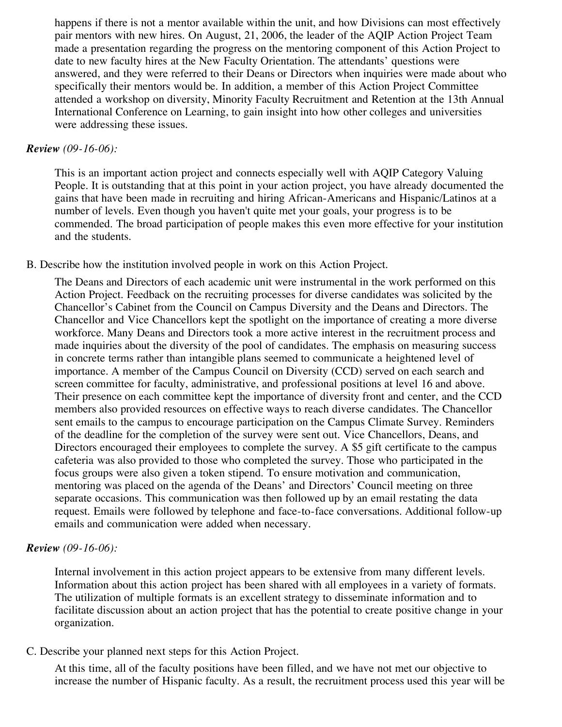happens if there is not a mentor available within the unit, and how Divisions can most effectively pair mentors with new hires. On August, 21, 2006, the leader of the AQIP Action Project Team made a presentation regarding the progress on the mentoring component of this Action Project to date to new faculty hires at the New Faculty Orientation. The attendants' questions were answered, and they were referred to their Deans or Directors when inquiries were made about who specifically their mentors would be. In addition, a member of this Action Project Committee attended a workshop on diversity, Minority Faculty Recruitment and Retention at the 13th Annual International Conference on Learning, to gain insight into how other colleges and universities were addressing these issues.

### *Review (09-16-06):*

This is an important action project and connects especially well with AQIP Category Valuing People. It is outstanding that at this point in your action project, you have already documented the gains that have been made in recruiting and hiring African-Americans and Hispanic/Latinos at a number of levels. Even though you haven't quite met your goals, your progress is to be commended. The broad participation of people makes this even more effective for your institution and the students.

### B. Describe how the institution involved people in work on this Action Project.

The Deans and Directors of each academic unit were instrumental in the work performed on this Action Project. Feedback on the recruiting processes for diverse candidates was solicited by the Chancellor's Cabinet from the Council on Campus Diversity and the Deans and Directors. The Chancellor and Vice Chancellors kept the spotlight on the importance of creating a more diverse workforce. Many Deans and Directors took a more active interest in the recruitment process and made inquiries about the diversity of the pool of candidates. The emphasis on measuring success in concrete terms rather than intangible plans seemed to communicate a heightened level of importance. A member of the Campus Council on Diversity (CCD) served on each search and screen committee for faculty, administrative, and professional positions at level 16 and above. Their presence on each committee kept the importance of diversity front and center, and the CCD members also provided resources on effective ways to reach diverse candidates. The Chancellor sent emails to the campus to encourage participation on the Campus Climate Survey. Reminders of the deadline for the completion of the survey were sent out. Vice Chancellors, Deans, and Directors encouraged their employees to complete the survey. A \$5 gift certificate to the campus cafeteria was also provided to those who completed the survey. Those who participated in the focus groups were also given a token stipend. To ensure motivation and communication, mentoring was placed on the agenda of the Deans' and Directors' Council meeting on three separate occasions. This communication was then followed up by an email restating the data request. Emails were followed by telephone and face-to-face conversations. Additional follow-up emails and communication were added when necessary.

### *Review (09-16-06):*

Internal involvement in this action project appears to be extensive from many different levels. Information about this action project has been shared with all employees in a variety of formats. The utilization of multiple formats is an excellent strategy to disseminate information and to facilitate discussion about an action project that has the potential to create positive change in your organization.

## C. Describe your planned next steps for this Action Project.

At this time, all of the faculty positions have been filled, and we have not met our objective to increase the number of Hispanic faculty. As a result, the recruitment process used this year will be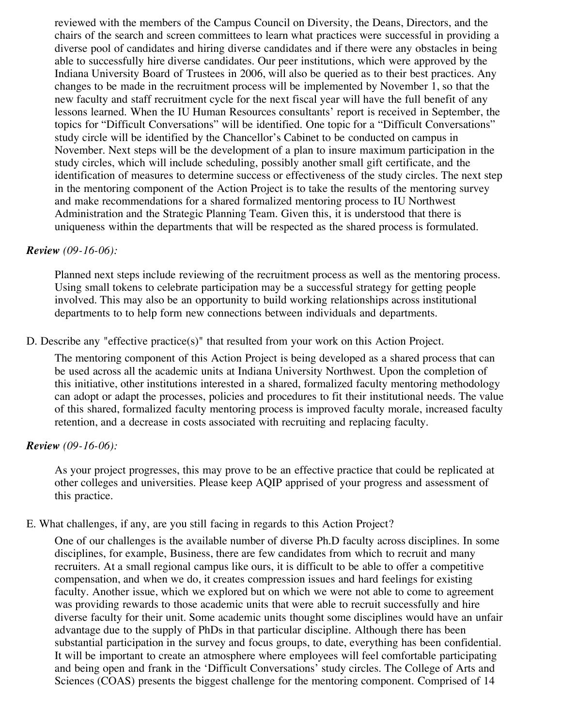reviewed with the members of the Campus Council on Diversity, the Deans, Directors, and the chairs of the search and screen committees to learn what practices were successful in providing a diverse pool of candidates and hiring diverse candidates and if there were any obstacles in being able to successfully hire diverse candidates. Our peer institutions, which were approved by the Indiana University Board of Trustees in 2006, will also be queried as to their best practices. Any changes to be made in the recruitment process will be implemented by November 1, so that the new faculty and staff recruitment cycle for the next fiscal year will have the full benefit of any lessons learned. When the IU Human Resources consultants' report is received in September, the topics for "Difficult Conversations" will be identified. One topic for a "Difficult Conversations" study circle will be identified by the Chancellor's Cabinet to be conducted on campus in November. Next steps will be the development of a plan to insure maximum participation in the study circles, which will include scheduling, possibly another small gift certificate, and the identification of measures to determine success or effectiveness of the study circles. The next step in the mentoring component of the Action Project is to take the results of the mentoring survey and make recommendations for a shared formalized mentoring process to IU Northwest Administration and the Strategic Planning Team. Given this, it is understood that there is uniqueness within the departments that will be respected as the shared process is formulated.

### *Review (09-16-06):*

Planned next steps include reviewing of the recruitment process as well as the mentoring process. Using small tokens to celebrate participation may be a successful strategy for getting people involved. This may also be an opportunity to build working relationships across institutional departments to to help form new connections between individuals and departments.

D. Describe any "effective practice(s)" that resulted from your work on this Action Project.

The mentoring component of this Action Project is being developed as a shared process that can be used across all the academic units at Indiana University Northwest. Upon the completion of this initiative, other institutions interested in a shared, formalized faculty mentoring methodology can adopt or adapt the processes, policies and procedures to fit their institutional needs. The value of this shared, formalized faculty mentoring process is improved faculty morale, increased faculty retention, and a decrease in costs associated with recruiting and replacing faculty.

### *Review (09-16-06):*

As your project progresses, this may prove to be an effective practice that could be replicated at other colleges and universities. Please keep AQIP apprised of your progress and assessment of this practice.

### E. What challenges, if any, are you still facing in regards to this Action Project?

One of our challenges is the available number of diverse Ph.D faculty across disciplines. In some disciplines, for example, Business, there are few candidates from which to recruit and many recruiters. At a small regional campus like ours, it is difficult to be able to offer a competitive compensation, and when we do, it creates compression issues and hard feelings for existing faculty. Another issue, which we explored but on which we were not able to come to agreement was providing rewards to those academic units that were able to recruit successfully and hire diverse faculty for their unit. Some academic units thought some disciplines would have an unfair advantage due to the supply of PhDs in that particular discipline. Although there has been substantial participation in the survey and focus groups, to date, everything has been confidential. It will be important to create an atmosphere where employees will feel comfortable participating and being open and frank in the 'Difficult Conversations' study circles. The College of Arts and Sciences (COAS) presents the biggest challenge for the mentoring component. Comprised of 14